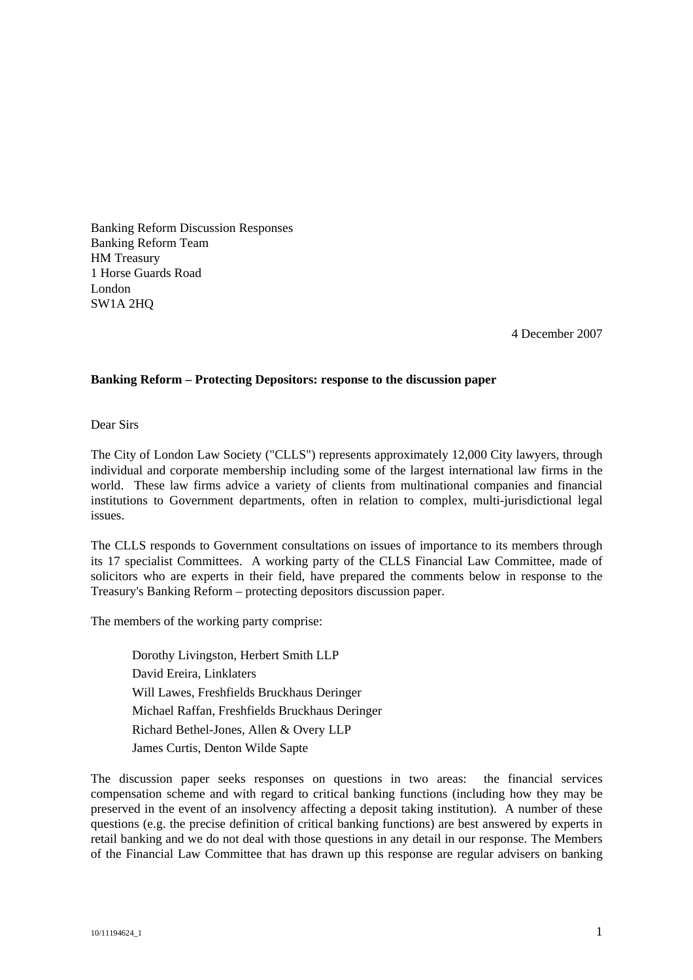Banking Reform Discussion Responses Banking Reform Team HM Treasury 1 Horse Guards Road London SW1A 2HQ

4 December 2007

## **Banking Reform – Protecting Depositors: response to the discussion paper**

Dear Sirs

The City of London Law Society ("CLLS") represents approximately 12,000 City lawyers, through individual and corporate membership including some of the largest international law firms in the world. These law firms advice a variety of clients from multinational companies and financial institutions to Government departments, often in relation to complex, multi-jurisdictional legal issues.

The CLLS responds to Government consultations on issues of importance to its members through its 17 specialist Committees. A working party of the CLLS Financial Law Committee, made of solicitors who are experts in their field, have prepared the comments below in response to the Treasury's Banking Reform – protecting depositors discussion paper.

The members of the working party comprise:

Dorothy Livingston, Herbert Smith LLP David Ereira, Linklaters Will Lawes, Freshfields Bruckhaus Deringer Michael Raffan, Freshfields Bruckhaus Deringer Richard Bethel-Jones, Allen & Overy LLP James Curtis, Denton Wilde Sapte

The discussion paper seeks responses on questions in two areas: the financial services compensation scheme and with regard to critical banking functions (including how they may be preserved in the event of an insolvency affecting a deposit taking institution). A number of these questions (e.g. the precise definition of critical banking functions) are best answered by experts in retail banking and we do not deal with those questions in any detail in our response. The Members of the Financial Law Committee that has drawn up this response are regular advisers on banking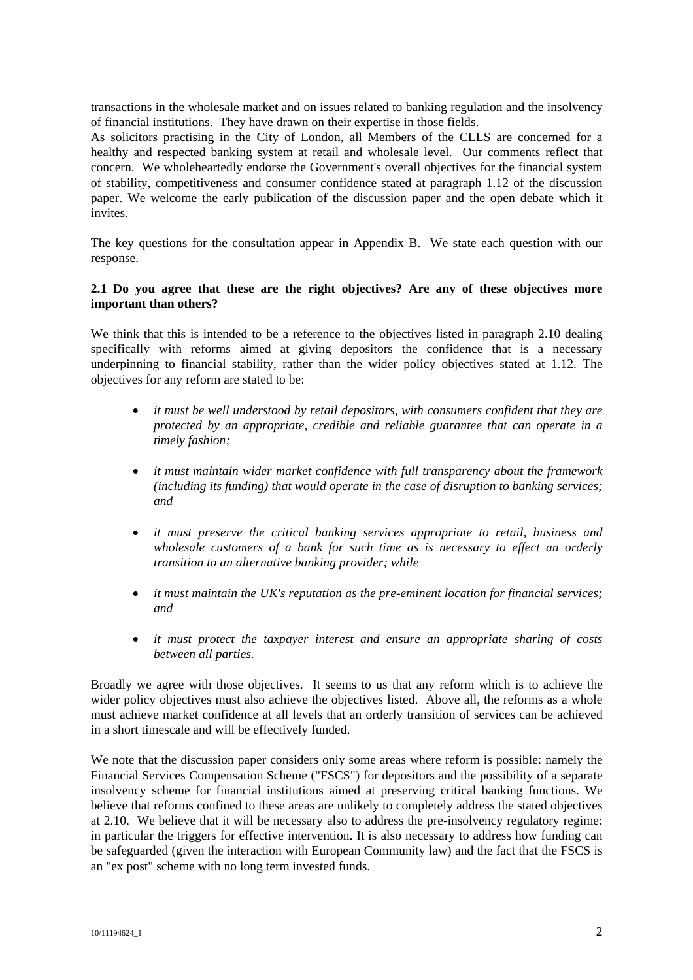transactions in the wholesale market and on issues related to banking regulation and the insolvency of financial institutions. They have drawn on their expertise in those fields.

As solicitors practising in the City of London, all Members of the CLLS are concerned for a healthy and respected banking system at retail and wholesale level. Our comments reflect that concern. We wholeheartedly endorse the Government's overall objectives for the financial system of stability, competitiveness and consumer confidence stated at paragraph 1.12 of the discussion paper. We welcome the early publication of the discussion paper and the open debate which it invites.

The key questions for the consultation appear in Appendix B. We state each question with our response.

#### **2.1 Do you agree that these are the right objectives? Are any of these objectives more important than others?**

We think that this is intended to be a reference to the objectives listed in paragraph 2.10 dealing specifically with reforms aimed at giving depositors the confidence that is a necessary underpinning to financial stability, rather than the wider policy objectives stated at 1.12. The objectives for any reform are stated to be:

- *it must be well understood by retail depositors, with consumers confident that they are protected by an appropriate, credible and reliable guarantee that can operate in a timely fashion;*
- *it must maintain wider market confidence with full transparency about the framework (including its funding) that would operate in the case of disruption to banking services; and*
- *it must preserve the critical banking services appropriate to retail, business and wholesale customers of a bank for such time as is necessary to effect an orderly transition to an alternative banking provider; while*
- *it must maintain the UK's reputation as the pre-eminent location for financial services; and*
- *it must protect the taxpayer interest and ensure an appropriate sharing of costs between all parties.*

Broadly we agree with those objectives. It seems to us that any reform which is to achieve the wider policy objectives must also achieve the objectives listed. Above all, the reforms as a whole must achieve market confidence at all levels that an orderly transition of services can be achieved in a short timescale and will be effectively funded.

We note that the discussion paper considers only some areas where reform is possible: namely the Financial Services Compensation Scheme ("FSCS") for depositors and the possibility of a separate insolvency scheme for financial institutions aimed at preserving critical banking functions. We believe that reforms confined to these areas are unlikely to completely address the stated objectives at 2.10. We believe that it will be necessary also to address the pre-insolvency regulatory regime: in particular the triggers for effective intervention. It is also necessary to address how funding can be safeguarded (given the interaction with European Community law) and the fact that the FSCS is an "ex post" scheme with no long term invested funds.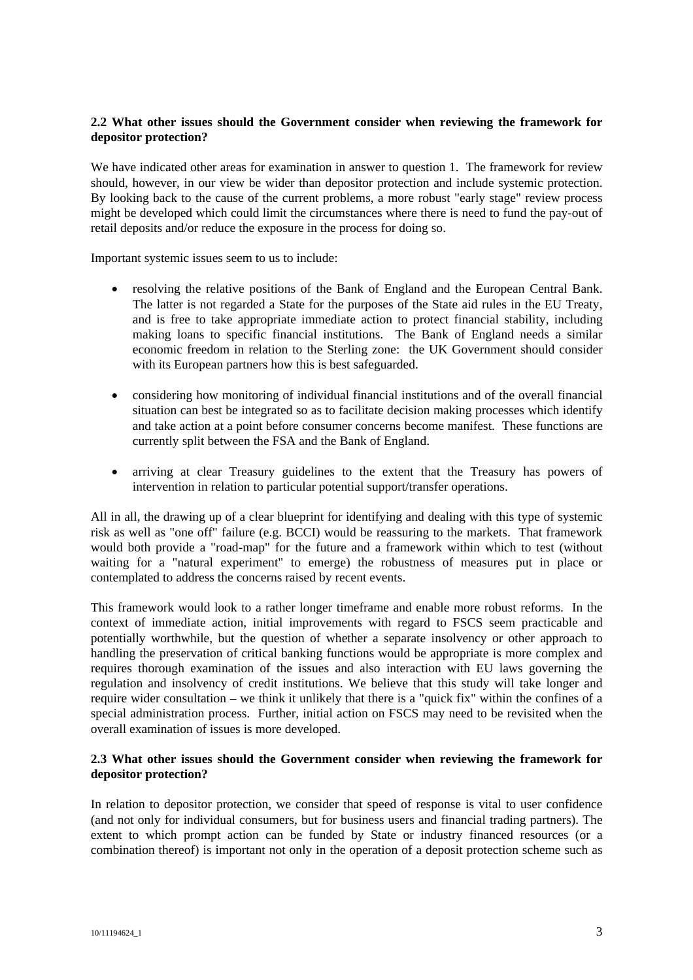## **2.2 What other issues should the Government consider when reviewing the framework for depositor protection?**

We have indicated other areas for examination in answer to question 1. The framework for review should, however, in our view be wider than depositor protection and include systemic protection. By looking back to the cause of the current problems, a more robust "early stage" review process might be developed which could limit the circumstances where there is need to fund the pay-out of retail deposits and/or reduce the exposure in the process for doing so.

Important systemic issues seem to us to include:

- resolving the relative positions of the Bank of England and the European Central Bank. The latter is not regarded a State for the purposes of the State aid rules in the EU Treaty, and is free to take appropriate immediate action to protect financial stability, including making loans to specific financial institutions. The Bank of England needs a similar economic freedom in relation to the Sterling zone: the UK Government should consider with its European partners how this is best safeguarded.
- considering how monitoring of individual financial institutions and of the overall financial situation can best be integrated so as to facilitate decision making processes which identify and take action at a point before consumer concerns become manifest. These functions are currently split between the FSA and the Bank of England.
- arriving at clear Treasury guidelines to the extent that the Treasury has powers of intervention in relation to particular potential support/transfer operations.

All in all, the drawing up of a clear blueprint for identifying and dealing with this type of systemic risk as well as "one off" failure (e.g. BCCI) would be reassuring to the markets. That framework would both provide a "road-map" for the future and a framework within which to test (without waiting for a "natural experiment" to emerge) the robustness of measures put in place or contemplated to address the concerns raised by recent events.

This framework would look to a rather longer timeframe and enable more robust reforms. In the context of immediate action, initial improvements with regard to FSCS seem practicable and potentially worthwhile, but the question of whether a separate insolvency or other approach to handling the preservation of critical banking functions would be appropriate is more complex and requires thorough examination of the issues and also interaction with EU laws governing the regulation and insolvency of credit institutions. We believe that this study will take longer and require wider consultation – we think it unlikely that there is a "quick fix" within the confines of a special administration process. Further, initial action on FSCS may need to be revisited when the overall examination of issues is more developed.

## **2.3 What other issues should the Government consider when reviewing the framework for depositor protection?**

In relation to depositor protection, we consider that speed of response is vital to user confidence (and not only for individual consumers, but for business users and financial trading partners). The extent to which prompt action can be funded by State or industry financed resources (or a combination thereof) is important not only in the operation of a deposit protection scheme such as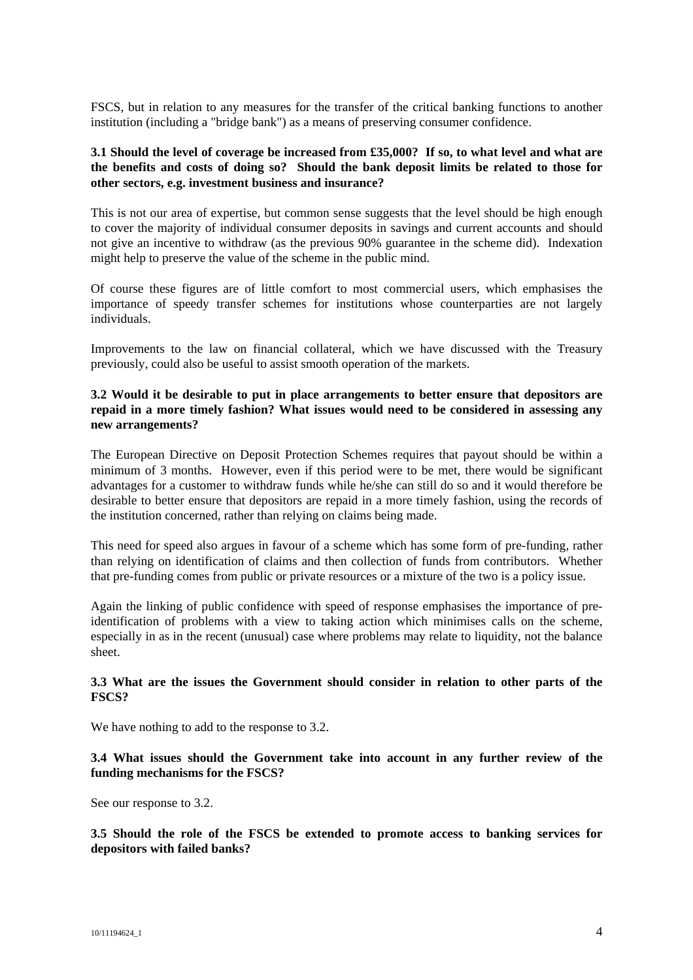FSCS, but in relation to any measures for the transfer of the critical banking functions to another institution (including a "bridge bank") as a means of preserving consumer confidence.

#### **3.1 Should the level of coverage be increased from £35,000? If so, to what level and what are the benefits and costs of doing so? Should the bank deposit limits be related to those for other sectors, e.g. investment business and insurance?**

This is not our area of expertise, but common sense suggests that the level should be high enough to cover the majority of individual consumer deposits in savings and current accounts and should not give an incentive to withdraw (as the previous 90% guarantee in the scheme did). Indexation might help to preserve the value of the scheme in the public mind.

Of course these figures are of little comfort to most commercial users, which emphasises the importance of speedy transfer schemes for institutions whose counterparties are not largely individuals.

Improvements to the law on financial collateral, which we have discussed with the Treasury previously, could also be useful to assist smooth operation of the markets.

#### **3.2 Would it be desirable to put in place arrangements to better ensure that depositors are repaid in a more timely fashion? What issues would need to be considered in assessing any new arrangements?**

The European Directive on Deposit Protection Schemes requires that payout should be within a minimum of 3 months. However, even if this period were to be met, there would be significant advantages for a customer to withdraw funds while he/she can still do so and it would therefore be desirable to better ensure that depositors are repaid in a more timely fashion, using the records of the institution concerned, rather than relying on claims being made.

This need for speed also argues in favour of a scheme which has some form of pre-funding, rather than relying on identification of claims and then collection of funds from contributors. Whether that pre-funding comes from public or private resources or a mixture of the two is a policy issue.

Again the linking of public confidence with speed of response emphasises the importance of preidentification of problems with a view to taking action which minimises calls on the scheme, especially in as in the recent (unusual) case where problems may relate to liquidity, not the balance sheet.

#### **3.3 What are the issues the Government should consider in relation to other parts of the FSCS?**

We have nothing to add to the response to 3.2.

## **3.4 What issues should the Government take into account in any further review of the funding mechanisms for the FSCS?**

See our response to 3.2.

**3.5 Should the role of the FSCS be extended to promote access to banking services for depositors with failed banks?**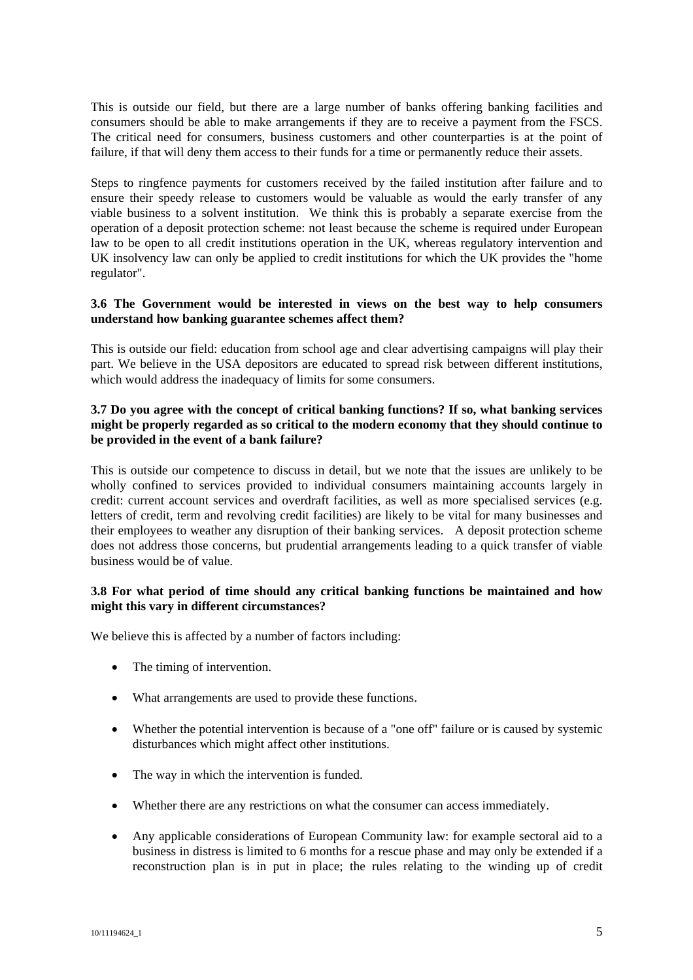This is outside our field, but there are a large number of banks offering banking facilities and consumers should be able to make arrangements if they are to receive a payment from the FSCS. The critical need for consumers, business customers and other counterparties is at the point of failure, if that will deny them access to their funds for a time or permanently reduce their assets.

Steps to ringfence payments for customers received by the failed institution after failure and to ensure their speedy release to customers would be valuable as would the early transfer of any viable business to a solvent institution. We think this is probably a separate exercise from the operation of a deposit protection scheme: not least because the scheme is required under European law to be open to all credit institutions operation in the UK, whereas regulatory intervention and UK insolvency law can only be applied to credit institutions for which the UK provides the "home regulator".

#### **3.6 The Government would be interested in views on the best way to help consumers understand how banking guarantee schemes affect them?**

This is outside our field: education from school age and clear advertising campaigns will play their part. We believe in the USA depositors are educated to spread risk between different institutions, which would address the inadequacy of limits for some consumers.

# **3.7 Do you agree with the concept of critical banking functions? If so, what banking services might be properly regarded as so critical to the modern economy that they should continue to be provided in the event of a bank failure?**

This is outside our competence to discuss in detail, but we note that the issues are unlikely to be wholly confined to services provided to individual consumers maintaining accounts largely in credit: current account services and overdraft facilities, as well as more specialised services (e.g. letters of credit, term and revolving credit facilities) are likely to be vital for many businesses and their employees to weather any disruption of their banking services. A deposit protection scheme does not address those concerns, but prudential arrangements leading to a quick transfer of viable business would be of value.

## **3.8 For what period of time should any critical banking functions be maintained and how might this vary in different circumstances?**

We believe this is affected by a number of factors including:

- The timing of intervention.
- What arrangements are used to provide these functions.
- Whether the potential intervention is because of a "one off" failure or is caused by systemic disturbances which might affect other institutions.
- The way in which the intervention is funded.
- Whether there are any restrictions on what the consumer can access immediately.
- Any applicable considerations of European Community law: for example sectoral aid to a business in distress is limited to 6 months for a rescue phase and may only be extended if a reconstruction plan is in put in place; the rules relating to the winding up of credit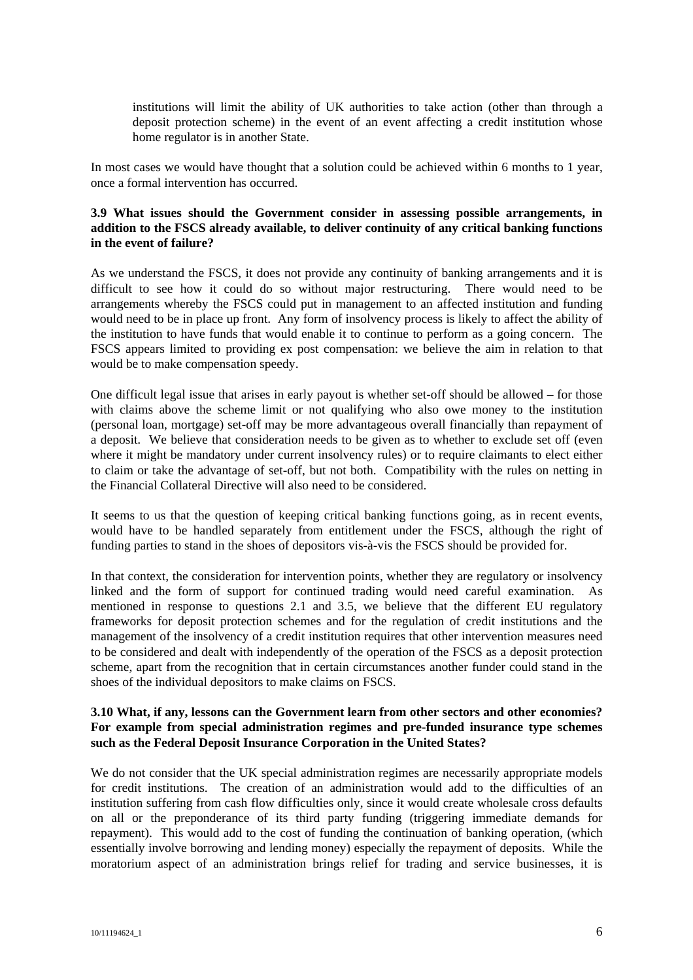institutions will limit the ability of UK authorities to take action (other than through a deposit protection scheme) in the event of an event affecting a credit institution whose home regulator is in another State.

In most cases we would have thought that a solution could be achieved within 6 months to 1 year, once a formal intervention has occurred.

## **3.9 What issues should the Government consider in assessing possible arrangements, in addition to the FSCS already available, to deliver continuity of any critical banking functions in the event of failure?**

As we understand the FSCS, it does not provide any continuity of banking arrangements and it is difficult to see how it could do so without major restructuring. There would need to be arrangements whereby the FSCS could put in management to an affected institution and funding would need to be in place up front. Any form of insolvency process is likely to affect the ability of the institution to have funds that would enable it to continue to perform as a going concern. The FSCS appears limited to providing ex post compensation: we believe the aim in relation to that would be to make compensation speedy.

One difficult legal issue that arises in early payout is whether set-off should be allowed – for those with claims above the scheme limit or not qualifying who also owe money to the institution (personal loan, mortgage) set-off may be more advantageous overall financially than repayment of a deposit. We believe that consideration needs to be given as to whether to exclude set off (even where it might be mandatory under current insolvency rules) or to require claimants to elect either to claim or take the advantage of set-off, but not both. Compatibility with the rules on netting in the Financial Collateral Directive will also need to be considered.

It seems to us that the question of keeping critical banking functions going, as in recent events, would have to be handled separately from entitlement under the FSCS, although the right of funding parties to stand in the shoes of depositors vis-à-vis the FSCS should be provided for.

In that context, the consideration for intervention points, whether they are regulatory or insolvency linked and the form of support for continued trading would need careful examination. As mentioned in response to questions 2.1 and 3.5, we believe that the different EU regulatory frameworks for deposit protection schemes and for the regulation of credit institutions and the management of the insolvency of a credit institution requires that other intervention measures need to be considered and dealt with independently of the operation of the FSCS as a deposit protection scheme, apart from the recognition that in certain circumstances another funder could stand in the shoes of the individual depositors to make claims on FSCS.

#### **3.10 What, if any, lessons can the Government learn from other sectors and other economies? For example from special administration regimes and pre-funded insurance type schemes such as the Federal Deposit Insurance Corporation in the United States?**

We do not consider that the UK special administration regimes are necessarily appropriate models for credit institutions. The creation of an administration would add to the difficulties of an institution suffering from cash flow difficulties only, since it would create wholesale cross defaults on all or the preponderance of its third party funding (triggering immediate demands for repayment). This would add to the cost of funding the continuation of banking operation, (which essentially involve borrowing and lending money) especially the repayment of deposits. While the moratorium aspect of an administration brings relief for trading and service businesses, it is